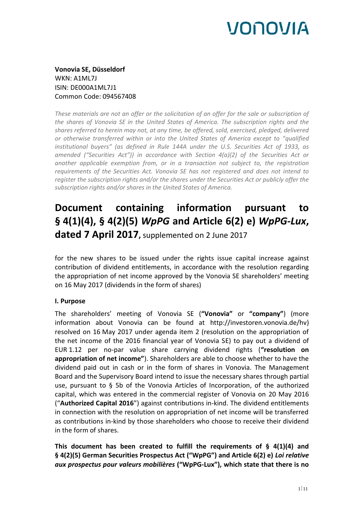**Vonovia SE, Düsseldorf** WKN: A1ML7J ISIN: DE000A1ML7J1 Common Code: 094567408

*These materials are not an offer or the solicitation of an offer for the sale or subscription of the shares of Vonovia SE in the United States of America. The subscription rights and the shares referred to herein may not, at any time, be offered, sold, exercised, pledged, delivered or otherwise transferred within or into the United States of America except to "qualified institutional buyers" (as defined in Rule 144A under the U.S. Securities Act of 1933, as amended ("Securities Act")) in accordance with Section 4(a)(2) of the Securities Act or another applicable exemption from, or in a transaction not subject to, the registration requirements of the Securities Act. Vonovia SE has not registered and does not intend to register the subscription rights and/or the shares under the Securities Act or publicly offer the subscription rights and/or shares in the United States of America.*

## **Document containing information pursuant to § 4(1)(4), § 4(2)(5)** *WpPG* **and Article 6(2) e)** *WpPG-Lux***, dated 7 April 2017,** supplemented on 2 June 2017

for the new shares to be issued under the rights issue capital increase against contribution of dividend entitlements, in accordance with the resolution regarding the appropriation of net income approved by the Vonovia SE shareholders' meeting on 16 May 2017 (dividends in the form of shares)

## **I. Purpose**

The shareholders' meeting of Vonovia SE (**"Vonovia"** or **"company"**) (more information about Vonovia can be found at http://investoren.vonovia.de/hv) resolved on 16 May 2017 under agenda item 2 (resolution on the appropriation of the net income of the 2016 financial year of Vonovia SE) to pay out a dividend of EUR 1.12 per no-par value share carrying dividend rights (**"resolution on appropriation of net income"**). Shareholders are able to choose whether to have the dividend paid out in cash or in the form of shares in Vonovia. The Management Board and the Supervisory Board intend to issue the necessary shares through partial use, pursuant to § 5b of the Vonovia Articles of Incorporation, of the authorized capital, which was entered in the commercial register of Vonovia on 20 May 2016 ("**Authorized Capital 2016**") against contributions in-kind. The dividend entitlements in connection with the resolution on appropriation of net income will be transferred as contributions in-kind by those shareholders who choose to receive their dividend in the form of shares.

**This document has been created to fulfill the requirements of § 4(1)(4) and § 4(2)(5) German Securities Prospectus Act ("WpPG") and Article 6(2) e)** *Loi relative aux prospectus pour valeurs mobilières* **("WpPG-Lux"), which state that there is no**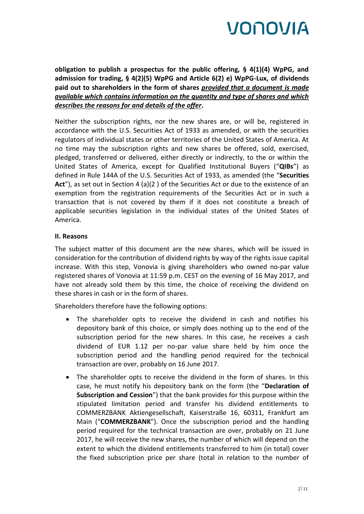

**obligation to publish a prospectus for the public offering, § 4(1)(4) WpPG, and admission for trading, § 4(2)(5) WpPG and Article 6(2) e) WpPG-Lux, of dividends paid out to shareholders in the form of shares** *provided that a document is made available which contains information on the quantity and type of shares and which describes the reasons for and details of the offer***.** 

Neither the subscription rights, nor the new shares are, or will be, registered in accordance with the U.S. Securities Act of 1933 as amended, or with the securities regulators of individual states or other territories of the United States of America. At no time may the subscription rights and new shares be offered, sold, exercised, pledged, transferred or delivered, either directly or indirectly, to the or within the United States of America, except for Qualified Institutional Buyers ("**QIBs**") as defined in Rule 144A of the U.S. Securities Act of 1933, as amended (the "**Securities**  Act"), as set out in Section 4 (a)(2) of the Securities Act or due to the existence of an exemption from the registration requirements of the Securities Act or in such a transaction that is not covered by them if it does not constitute a breach of applicable securities legislation in the individual states of the United States of America.

### **II. Reasons**

The subject matter of this document are the new shares, which will be issued in consideration for the contribution of dividend rights by way of the rights issue capital increase. With this step, Vonovia is giving shareholders who owned no-par value registered shares of Vonovia at 11:59 p.m. CEST on the evening of 16 May 2017, and have not already sold them by this time, the choice of receiving the dividend on these shares in cash or in the form of shares.

Shareholders therefore have the following options:

- The shareholder opts to receive the dividend in cash and notifies his depository bank of this choice, or simply does nothing up to the end of the subscription period for the new shares. In this case, he receives a cash dividend of EUR 1.12 per no-par value share held by him once the subscription period and the handling period required for the technical transaction are over, probably on 16 June 2017.
- The shareholder opts to receive the dividend in the form of shares. In this case, he must notify his depository bank on the form (the "**Declaration of Subscription and Cession**") that the bank provides for this purpose within the stipulated limitation period and transfer his dividend entitlements to COMMERZBANK Aktiengesellschaft, Kaiserstraße 16, 60311, Frankfurt am Main ("**COMMERZBANK**"). Once the subscription period and the handling period required for the technical transaction are over, probably on 21 June 2017, he will receive the new shares, the number of which will depend on the extent to which the dividend entitlements transferred to him (in total) cover the fixed subscription price per share (total in relation to the number of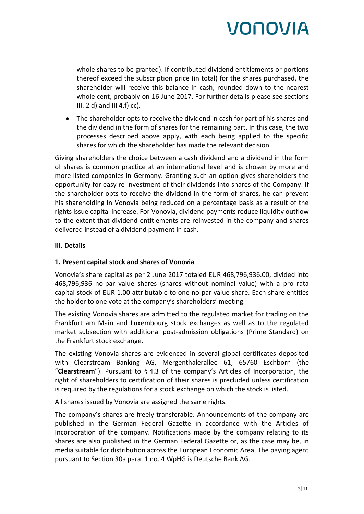whole shares to be granted). If contributed dividend entitlements or portions thereof exceed the subscription price (in total) for the shares purchased, the shareholder will receive this balance in cash, rounded down to the nearest whole cent, probably on 16 June 2017. For further details please see sections III. 2 d) and III 4.f) cc).

 The shareholder opts to receive the dividend in cash for part of his shares and the dividend in the form of shares for the remaining part. In this case, the two processes described above apply, with each being applied to the specific shares for which the shareholder has made the relevant decision.

Giving shareholders the choice between a cash dividend and a dividend in the form of shares is common practice at an international level and is chosen by more and more listed companies in Germany. Granting such an option gives shareholders the opportunity for easy re-investment of their dividends into shares of the Company. If the shareholder opts to receive the dividend in the form of shares, he can prevent his shareholding in Vonovia being reduced on a percentage basis as a result of the rights issue capital increase. For Vonovia, dividend payments reduce liquidity outflow to the extent that dividend entitlements are reinvested in the company and shares delivered instead of a dividend payment in cash.

## **III. Details**

## **1. Present capital stock and shares of Vonovia**

Vonovia's share capital as per 2 June 2017 totaled EUR 468,796,936.00, divided into 468,796,936 no-par value shares (shares without nominal value) with a pro rata capital stock of EUR 1.00 attributable to one no-par value share. Each share entitles the holder to one vote at the company's shareholders' meeting.

The existing Vonovia shares are admitted to the regulated market for trading on the Frankfurt am Main and Luxembourg stock exchanges as well as to the regulated market subsection with additional post-admission obligations (Prime Standard) on the Frankfurt stock exchange.

The existing Vonovia shares are evidenced in several global certificates deposited with Clearstream Banking AG, Mergenthalerallee 61, 65760 Eschborn (the "**Clearstream**"). Pursuant to § 4.3 of the company's Articles of Incorporation, the right of shareholders to certification of their shares is precluded unless certification is required by the regulations for a stock exchange on which the stock is listed.

All shares issued by Vonovia are assigned the same rights.

The company's shares are freely transferable. Announcements of the company are published in the German Federal Gazette in accordance with the Articles of Incorporation of the company. Notifications made by the company relating to its shares are also published in the German Federal Gazette or, as the case may be, in media suitable for distribution across the European Economic Area. The paying agent pursuant to Section 30a para. 1 no. 4 WpHG is Deutsche Bank AG.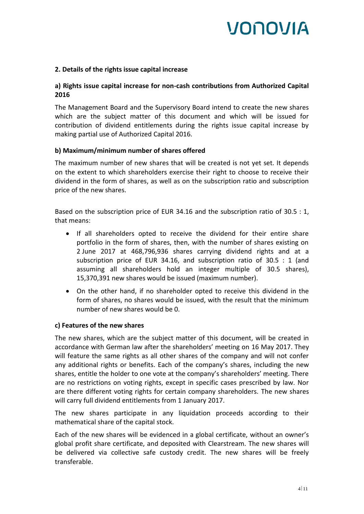## **2. Details of the rights issue capital increase**

## **a) Rights issue capital increase for non-cash contributions from Authorized Capital 2016**

The Management Board and the Supervisory Board intend to create the new shares which are the subject matter of this document and which will be issued for contribution of dividend entitlements during the rights issue capital increase by making partial use of Authorized Capital 2016.

### **b) Maximum/minimum number of shares offered**

The maximum number of new shares that will be created is not yet set. It depends on the extent to which shareholders exercise their right to choose to receive their dividend in the form of shares, as well as on the subscription ratio and subscription price of the new shares.

Based on the subscription price of EUR 34.16 and the subscription ratio of 30.5 : 1, that means:

- If all shareholders opted to receive the dividend for their entire share portfolio in the form of shares, then, with the number of shares existing on 2 June 2017 at 468,796,936 shares carrying dividend rights and at a subscription price of EUR 34.16, and subscription ratio of 30.5 : 1 (and assuming all shareholders hold an integer multiple of 30.5 shares), 15,370,391 new shares would be issued (maximum number).
- On the other hand, if no shareholder opted to receive this dividend in the form of shares, no shares would be issued, with the result that the minimum number of new shares would be 0.

### **c) Features of the new shares**

The new shares, which are the subject matter of this document, will be created in accordance with German law after the shareholders' meeting on 16 May 2017. They will feature the same rights as all other shares of the company and will not confer any additional rights or benefits. Each of the company's shares, including the new shares, entitle the holder to one vote at the company's shareholders' meeting. There are no restrictions on voting rights, except in specific cases prescribed by law. Nor are there different voting rights for certain company shareholders. The new shares will carry full dividend entitlements from 1 January 2017.

The new shares participate in any liquidation proceeds according to their mathematical share of the capital stock.

Each of the new shares will be evidenced in a global certificate, without an owner's global profit share certificate, and deposited with Clearstream. The new shares will be delivered via collective safe custody credit. The new shares will be freely transferable.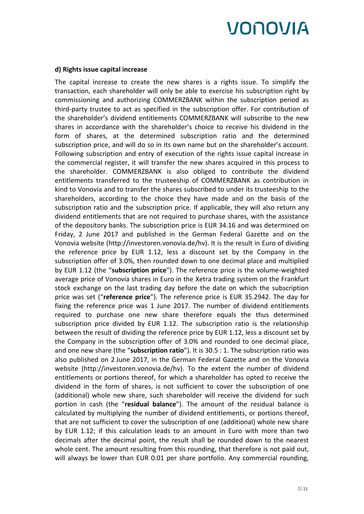#### **d) Rights issue capital increase**

The capital increase to create the new shares is a rights issue. To simplify the transaction, each shareholder will only be able to exercise his subscription right by commissioning and authorizing COMMERZBANK within the subscription period as third-party trustee to act as specified in the subscription offer. For contribution of the shareholder's dividend entitlements COMMERZBANK will subscribe to the new shares in accordance with the shareholder's choice to receive his dividend in the form of shares, at the determined subscription ratio and the determined subscription price, and will do so in its own name but on the shareholder's account. Following subscription and entry of execution of the rights issue capital increase in the commercial register, it will transfer the new shares acquired in this process to the shareholder. COMMERZBANK is also obliged to contribute the dividend entitlements transferred to the trusteeship of COMMERZBANK as contribution in kind to Vonovia and to transfer the shares subscribed to under its trusteeship to the shareholders, according to the choice they have made and on the basis of the subscription ratio and the subscription price. If applicable, they will also return any dividend entitlements that are not required to purchase shares, with the assistance of the depository banks. The subscription price is EUR 34.16 and was determined on Friday, 2 June 2017 and published in the German Federal Gazette and on the Vonovia website (http://investoren.vonovia.de/hv). It is the result in Euro of dividing the reference price by EUR 1.12, less a discount set by the Company in the subscription offer of 3.0%, then rounded down to one decimal place and multiplied by EUR 1.12 (the "**subscription price**"). The reference price is the volume-weighted average price of Vonovia shares in Euro in the Xetra trading system on the Frankfurt stock exchange on the last trading day before the date on which the subscription price was set ("**reference price**"). The reference price is EUR 35.2942. The day for fixing the reference price was 1 June 2017. The number of dividend entitlements required to purchase one new share therefore equals the thus determined subscription price divided by EUR 1.12. The subscription ratio is the relationship between the result of dividing the reference price by EUR 1.12, less a discount set by the Company in the subscription offer of 3.0% and rounded to one decimal place, and one new share (the "**subscription ratio**"). It is 30.5 : 1. The subscription ratio was also published on 2 June 2017, in the German Federal Gazette and on the Vonovia website (http://investoren.vonovia.de/hv). To the extent the number of dividend entitlements or portions thereof, for which a shareholder has opted to receive the dividend in the form of shares, is not sufficient to cover the subscription of one (additional) whole new share, such shareholder will receive the dividend for such portion in cash (the "**residual balance**"). The amount of the residual balance is calculated by multiplying the number of dividend entitlements, or portions thereof, that are not sufficient to cover the subscription of one (additional) whole new share by EUR 1.12; if this calculation leads to an amount in Euro with more than two decimals after the decimal point, the result shall be rounded down to the nearest whole cent. The amount resulting from this rounding, that therefore is not paid out, will always be lower than EUR 0.01 per share portfolio. Any commercial rounding,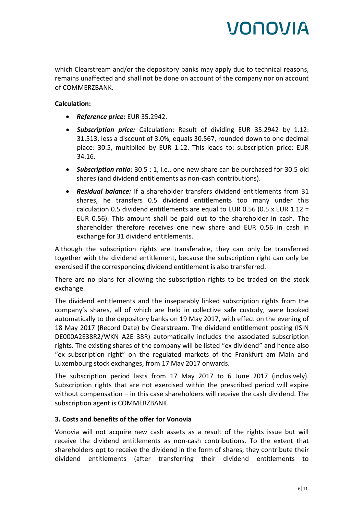which Clearstream and/or the depository banks may apply due to technical reasons, remains unaffected and shall not be done on account of the company nor on account of COMMERZBANK.

## **Calculation:**

- *Reference price:* EUR 35.2942.
- *Subscription price:* Calculation: Result of dividing EUR 35.2942 by 1.12: 31.513, less a discount of 3.0%, equals 30.567, rounded down to one decimal place: 30.5, multiplied by EUR 1.12. This leads to: subscription price: EUR 34.16.
- *Subscription ratio:* 30.5 : 1, i.e., one new share can be purchased for 30.5 old shares (and dividend entitlements as non-cash contributions).
- *Residual balance:* If a shareholder transfers dividend entitlements from 31 shares, he transfers 0.5 dividend entitlements too many under this calculation 0.5 dividend entitlements are equal to EUR 0.56 (0.5 x EUR 1.12 = EUR 0.56). This amount shall be paid out to the shareholder in cash. The shareholder therefore receives one new share and EUR 0.56 in cash in exchange for 31 dividend entitlements.

Although the subscription rights are transferable, they can only be transferred together with the dividend entitlement, because the subscription right can only be exercised if the corresponding dividend entitlement is also transferred.

There are no plans for allowing the subscription rights to be traded on the stock exchange.

The dividend entitlements and the inseparably linked subscription rights from the company's shares, all of which are held in collective safe custody, were booked automatically to the depository banks on 19 May 2017, with effect on the evening of 18 May 2017 (Record Date) by Clearstream. The dividend entitlement posting (ISIN DE000A2E38R2/WKN A2E 38R) automatically includes the associated subscription rights. The existing shares of the company will be listed "ex dividend" and hence also "ex subscription right" on the regulated markets of the Frankfurt am Main and Luxembourg stock exchanges, from 17 May 2017 onwards.

The subscription period lasts from 17 May 2017 to 6 June 2017 (inclusively). Subscription rights that are not exercised within the prescribed period will expire without compensation – in this case shareholders will receive the cash dividend. The subscription agent is COMMERZBANK.

### **3. Costs and benefits of the offer for Vonovia**

Vonovia will not acquire new cash assets as a result of the rights issue but will receive the dividend entitlements as non-cash contributions. To the extent that shareholders opt to receive the dividend in the form of shares, they contribute their dividend entitlements (after transferring their dividend entitlements to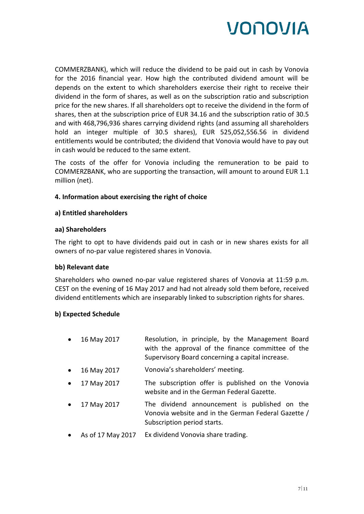

COMMERZBANK), which will reduce the dividend to be paid out in cash by Vonovia for the 2016 financial year. How high the contributed dividend amount will be depends on the extent to which shareholders exercise their right to receive their dividend in the form of shares, as well as on the subscription ratio and subscription price for the new shares. If all shareholders opt to receive the dividend in the form of shares, then at the subscription price of EUR 34.16 and the subscription ratio of 30.5 and with 468,796,936 shares carrying dividend rights (and assuming all shareholders hold an integer multiple of 30.5 shares), EUR 525,052,556.56 in dividend entitlements would be contributed; the dividend that Vonovia would have to pay out in cash would be reduced to the same extent.

The costs of the offer for Vonovia including the remuneration to be paid to COMMERZBANK, who are supporting the transaction, will amount to around EUR 1.1 million (net).

### **4. Information about exercising the right of choice**

#### **a) Entitled shareholders**

#### **aa) Shareholders**

The right to opt to have dividends paid out in cash or in new shares exists for all owners of no-par value registered shares in Vonovia.

#### **bb) Relevant date**

Shareholders who owned no-par value registered shares of Vonovia at 11:59 p.m. CEST on the evening of 16 May 2017 and had not already sold them before, received dividend entitlements which are inseparably linked to subscription rights for shares.

#### **b) Expected Schedule**

- 16 May 2017 Resolution, in principle, by the Management Board with the approval of the finance committee of the Supervisory Board concerning a capital increase.
- 16 May 2017 Vonovia's shareholders' meeting.
- 17 May 2017 The subscription offer is published on the Vonovia website and in the German Federal Gazette.
- 17 May 2017 The dividend announcement is published on the Vonovia website and in the German Federal Gazette / Subscription period starts.
- As of 17 May 2017 Ex dividend Vonovia share trading.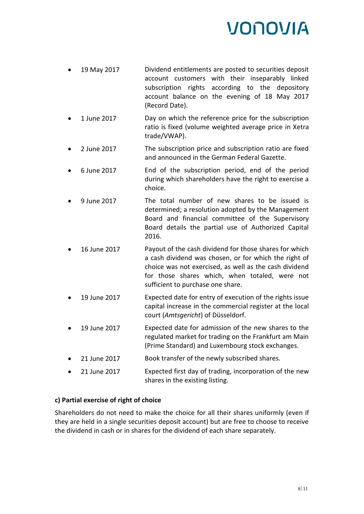- 19 May 2017 Dividend entitlements are posted to securities deposit account customers with their inseparably linked subscription rights according to the depository account balance on the evening of 18 May 2017 (Record Date).
- 1 June 2017 Day on which the reference price for the subscription ratio is fixed (volume weighted average price in Xetra trade/VWAP).
- 2 June 2017 The subscription price and subscription ratio are fixed and announced in the German Federal Gazette.
- 6 June 2017 End of the subscription period, end of the period during which shareholders have the right to exercise a choice.
- 9 June 2017 The total number of new shares to be issued is determined; a resolution adopted by the Management Board and financial committee of the Supervisory Board details the partial use of Authorized Capital 2016.
- 16 June 2017 Payout of the cash dividend for those shares for which a cash dividend was chosen, or for which the right of choice was not exercised, as well as the cash dividend for those shares which, when totaled, were not sufficient to purchase one share.
- 19 June 2017 Expected date for entry of execution of the rights issue capital increase in the commercial register at the local court (*Amtsgericht*) of Düsseldorf.
- 19 June 2017 Expected date for admission of the new shares to the regulated market for trading on the Frankfurt am Main (Prime Standard) and Luxembourg stock exchanges.
- 21 June 2017 Book transfer of the newly subscribed shares.
- 21 June 2017 Expected first day of trading, incorporation of the new shares in the existing listing.

## **c) Partial exercise of right of choice**

Shareholders do not need to make the choice for all their shares uniformly (even if they are held in a single securities deposit account) but are free to choose to receive the dividend in cash or in shares for the dividend of each share separately.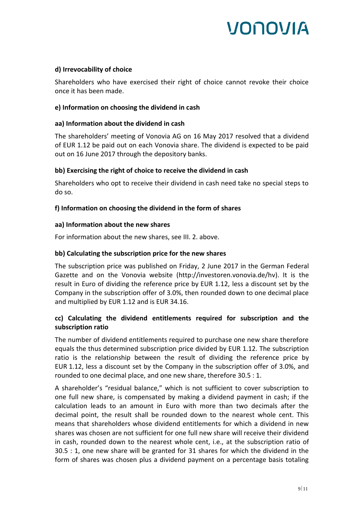## **d) Irrevocability of choice**

Shareholders who have exercised their right of choice cannot revoke their choice once it has been made.

### **e) Information on choosing the dividend in cash**

## **aa) Information about the dividend in cash**

The shareholders' meeting of Vonovia AG on 16 May 2017 resolved that a dividend of EUR 1.12 be paid out on each Vonovia share. The dividend is expected to be paid out on 16 June 2017 through the depository banks.

## **bb) Exercising the right of choice to receive the dividend in cash**

Shareholders who opt to receive their dividend in cash need take no special steps to do so.

## **f) Information on choosing the dividend in the form of shares**

## **aa) Information about the new shares**

For information about the new shares, see III. 2. above.

## **bb) Calculating the subscription price for the new shares**

The subscription price was published on Friday, 2 June 2017 in the German Federal Gazette and on the Vonovia website (http://investoren.vonovia.de/hv). It is the result in Euro of dividing the reference price by EUR 1.12, less a discount set by the Company in the subscription offer of 3.0%, then rounded down to one decimal place and multiplied by EUR 1.12 and is EUR 34.16.

## **cc) Calculating the dividend entitlements required for subscription and the subscription ratio**

The number of dividend entitlements required to purchase one new share therefore equals the thus determined subscription price divided by EUR 1.12. The subscription ratio is the relationship between the result of dividing the reference price by EUR 1.12, less a discount set by the Company in the subscription offer of 3.0%, and rounded to one decimal place, and one new share, therefore 30.5 : 1.

A shareholder's "residual balance," which is not sufficient to cover subscription to one full new share, is compensated by making a dividend payment in cash; if the calculation leads to an amount in Euro with more than two decimals after the decimal point, the result shall be rounded down to the nearest whole cent. This means that shareholders whose dividend entitlements for which a dividend in new shares was chosen are not sufficient for one full new share will receive their dividend in cash, rounded down to the nearest whole cent, i.e., at the subscription ratio of 30.5 : 1, one new share will be granted for 31 shares for which the dividend in the form of shares was chosen plus a dividend payment on a percentage basis totaling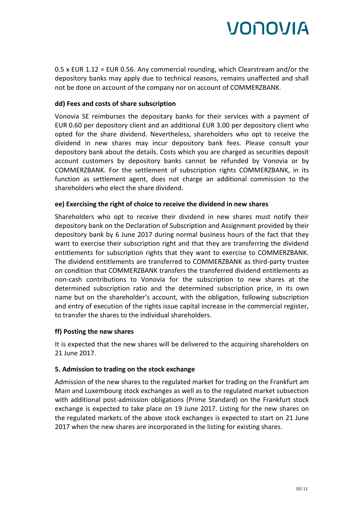0.5 x EUR 1.12 = EUR 0.56. Any commercial rounding, which Clearstream and/or the depository banks may apply due to technical reasons, remains unaffected and shall not be done on account of the company nor on account of COMMERZBANK.

## **dd) Fees and costs of share subscription**

Vonovia SE reimburses the depositary banks for their services with a payment of EUR 0.60 per depository client and an additional EUR 3.00 per depository client who opted for the share dividend. Nevertheless, shareholders who opt to receive the dividend in new shares may incur depository bank fees. Please consult your depository bank about the details. Costs which you are charged as securities deposit account customers by depository banks cannot be refunded by Vonovia or by COMMERZBANK. For the settlement of subscription rights COMMERZBANK, in its function as settlement agent, does not charge an additional commission to the shareholders who elect the share dividend.

## **ee) Exercising the right of choice to receive the dividend in new shares**

Shareholders who opt to receive their dividend in new shares must notify their depository bank on the Declaration of Subscription and Assignment provided by their depository bank by 6 June 2017 during normal business hours of the fact that they want to exercise their subscription right and that they are transferring the dividend entitlements for subscription rights that they want to exercise to COMMERZBANK. The dividend entitlements are transferred to COMMERZBANK as third-party trustee on condition that COMMERZBANK transfers the transferred dividend entitlements as non-cash contributions to Vonovia for the subscription to new shares at the determined subscription ratio and the determined subscription price, in its own name but on the shareholder's account, with the obligation, following subscription and entry of execution of the rights issue capital increase in the commercial register, to transfer the shares to the individual shareholders.

### **ff) Posting the new shares**

It is expected that the new shares will be delivered to the acquiring shareholders on 21 June 2017.

### **5. Admission to trading on the stock exchange**

Admission of the new shares to the regulated market for trading on the Frankfurt am Main and Luxembourg stock exchanges as well as to the regulated market subsection with additional post-admission obligations (Prime Standard) on the Frankfurt stock exchange is expected to take place on 19 June 2017. Listing for the new shares on the regulated markets of the above stock exchanges is expected to start on 21 June 2017 when the new shares are incorporated in the listing for existing shares.